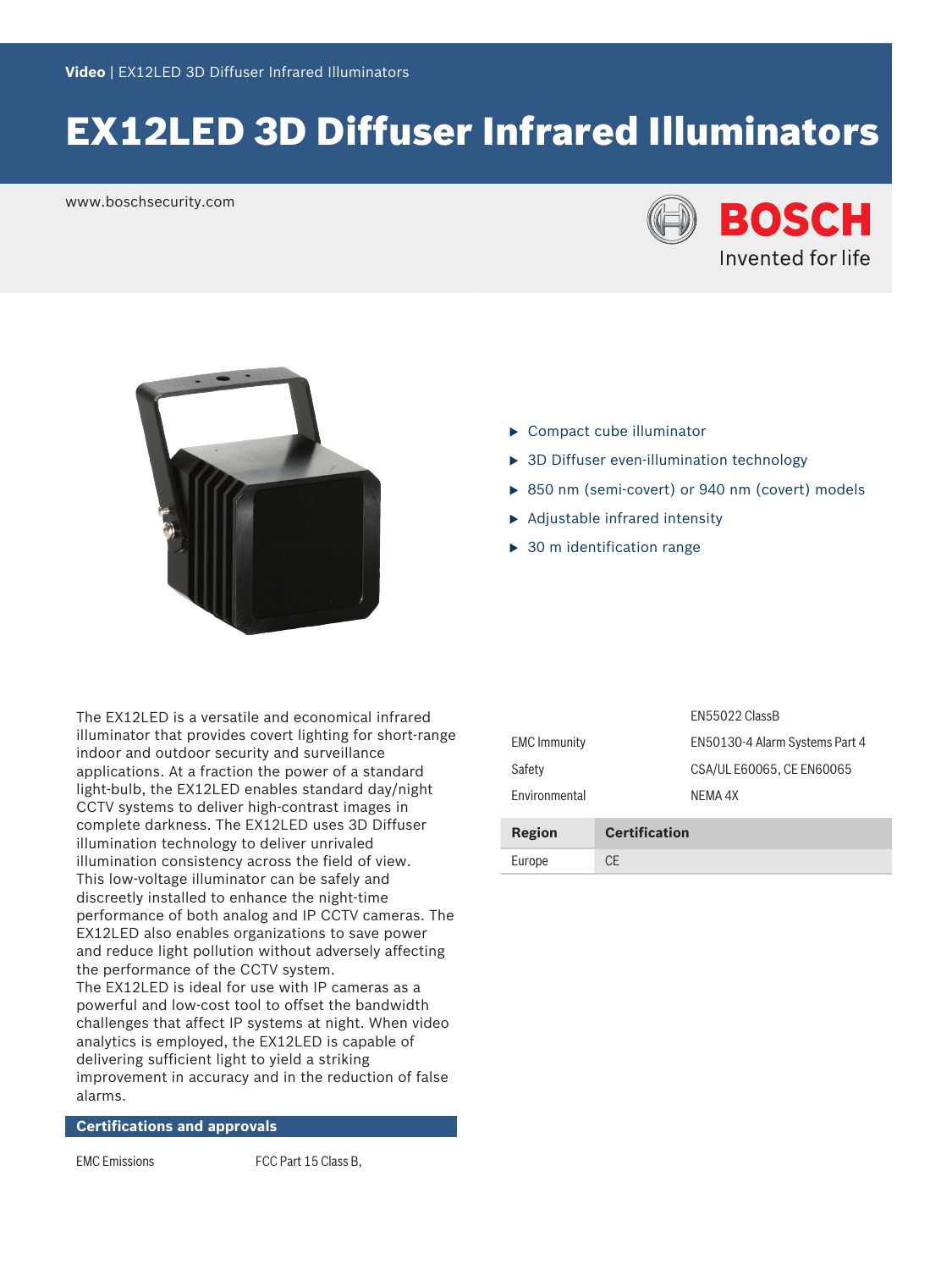# EX12LED 3D Diffuser Infrared Illuminators

www.boschsecurity.com





- $\blacktriangleright$  Compact cube illuminator
- $\triangleright$  3D Diffuser even-illumination technology
- $\triangleright$  850 nm (semi-covert) or 940 nm (covert) models
- $\blacktriangleright$  Adjustable infrared intensity
- $\triangleright$  30 m identification range

The EX12LED is a versatile and economical infrared illuminator that provides covert lighting for short-range indoor and outdoor security and surveillance applications. At a fraction the power of a standard light-bulb, the EX12LED enables standard day/night CCTV systems to deliver high-contrast images in complete darkness. The EX12LED uses 3D Diffuser illumination technology to deliver unrivaled illumination consistency across the field of view. This low-voltage illuminator can be safely and discreetly installed to enhance the night-time performance of both analog and IP CCTV cameras. The EX12LED also enables organizations to save power and reduce light pollution without adversely affecting the performance of the CCTV system. The EX12LED is ideal for use with IP cameras as a powerful and low-cost tool to offset the bandwidth challenges that affect IP systems at night. When video analytics is employed, the EX12LED is capable of delivering sufficient light to yield a striking improvement in accuracy and in the reduction of false alarms.

**Certifications and approvals**

EMC Emissions FCC Part 15 Class B,

|                      |                      | <b>FN55022 ClassB</b>          |
|----------------------|----------------------|--------------------------------|
| <b>EMC</b> Immunity  |                      | EN50130-4 Alarm Systems Part 4 |
| Safety               |                      | CSA/UL E60065, CE EN60065      |
| <b>Environmental</b> |                      | NFMA 4X                        |
| <b>Region</b>        | <b>Certification</b> |                                |
| Europe               | CF                   |                                |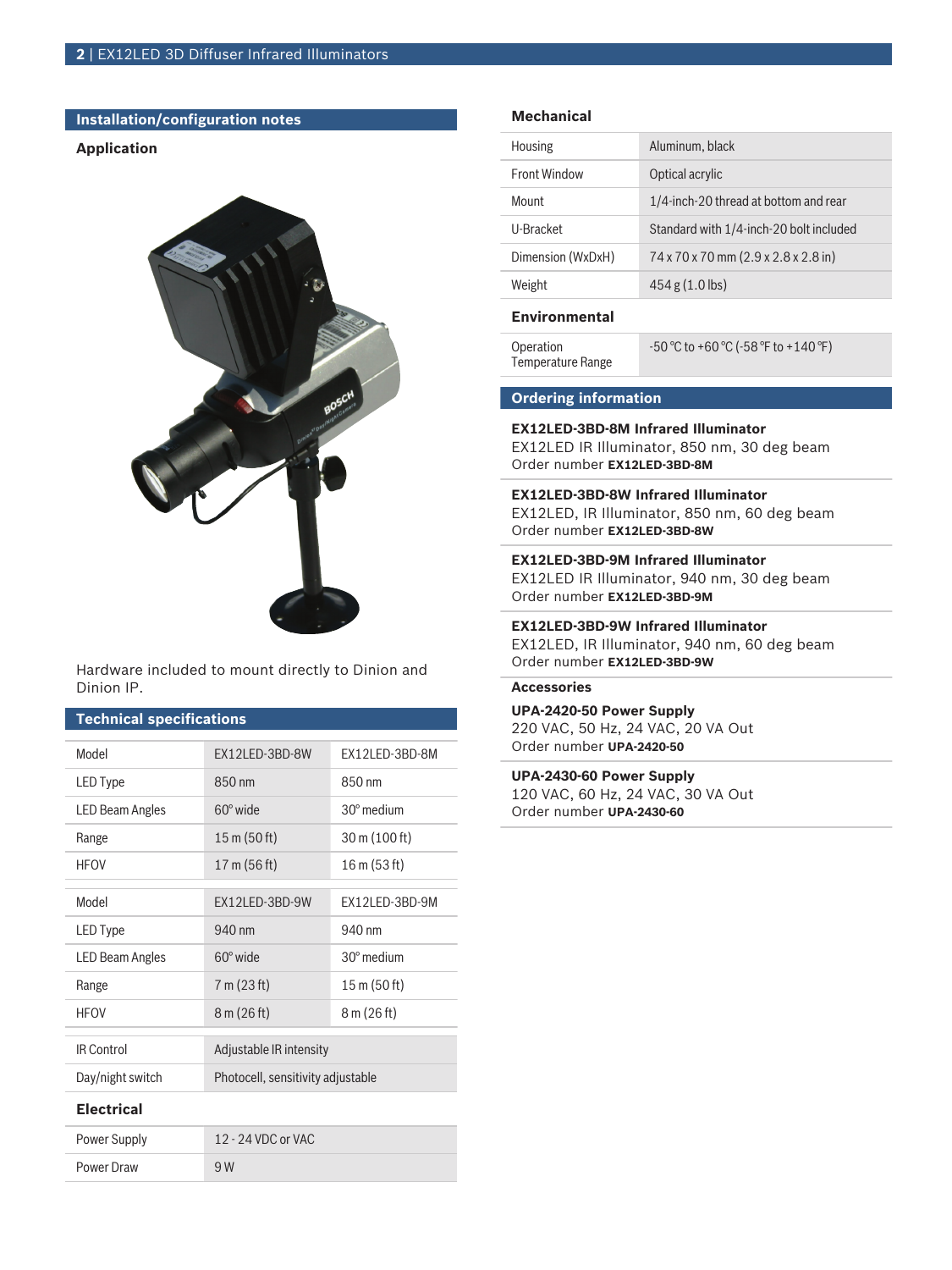# **Installation/configuration notes**

### **Application**



Hardware included to mount directly to Dinion and Dinion IP.

# **Technical specifications**

| Model                  | EX12LED-3BD-8W                    | EX12LED-3BD-8M        |  |  |
|------------------------|-----------------------------------|-----------------------|--|--|
| <b>LED Type</b>        | 850 nm                            | 850 nm                |  |  |
| <b>LED Beam Angles</b> | $60^\circ$ wide                   | $30^\circ$ medium     |  |  |
| Range                  | $15 \text{ m}$ (50 ft)            | 30 m (100 ft)         |  |  |
| <b>HEOV</b>            | 17 m (56 ft)                      | 16 m (53 ft)          |  |  |
| Model                  | <b>FX12LFD-3BD-9W</b>             | <b>FX12LED-3BD-9M</b> |  |  |
| <b>LED</b> Type        | 940 nm                            | 940 nm                |  |  |
| <b>LED Beam Angles</b> | $60^\circ$ wide                   | $30^\circ$ medium     |  |  |
| Range                  | 7 m (23 ft)                       | 15 m (50 ft)          |  |  |
| <b>HFOV</b>            | 8 m (26 ft)                       | 8 m (26 ft)           |  |  |
| <b>IR Control</b>      | Adjustable IR intensity           |                       |  |  |
| Day/night switch       | Photocell, sensitivity adjustable |                       |  |  |
| <b>Flectrical</b>      |                                   |                       |  |  |
| Power Supply           | 12 - 24 VDC or VAC                |                       |  |  |
| Power Draw             | 9 W                               |                       |  |  |

# **Mechanical**

| Housing             | Aluminum, black                         |
|---------------------|-----------------------------------------|
| <b>Front Window</b> | Optical acrylic                         |
| Mount               | 1/4-inch-20 thread at bottom and rear   |
| U-Bracket           | Standard with 1/4-inch-20 bolt included |
| Dimension (WxDxH)   | 74 x 70 x 70 mm (2.9 x 2.8 x 2.8 in)    |
| Weight              | $454 g (1.0$ lbs)                       |

# **Environmental**

| Operation         | $-50^{\circ}$ C to +60 °C ( $-58^{\circ}$ F to +140 °F) |
|-------------------|---------------------------------------------------------|
| Temperature Range |                                                         |

### **Ordering information**

#### **EX12LED‑3BD‑8M Infrared Illuminator**

EX12LED IR Illuminator, 850 nm, 30 deg beam Order number **EX12LED-3BD-8M**

#### **EX12LED‑3BD‑8W Infrared Illuminator**

EX12LED, IR Illuminator, 850 nm, 60 deg beam Order number **EX12LED-3BD-8W**

### **EX12LED‑3BD‑9M Infrared Illuminator**

EX12LED IR Illuminator, 940 nm, 30 deg beam Order number **EX12LED-3BD-9M**

#### **EX12LED‑3BD‑9W Infrared Illuminator**

EX12LED, IR Illuminator, 940 nm, 60 deg beam Order number **EX12LED-3BD-9W**

# **Accessories**

**UPA-2420-50 Power Supply** 220 VAC, 50 Hz, 24 VAC, 20 VA Out Order number **UPA-2420-50**

#### **UPA-2430-60 Power Supply**

120 VAC, 60 Hz, 24 VAC, 30 VA Out Order number **UPA-2430-60**